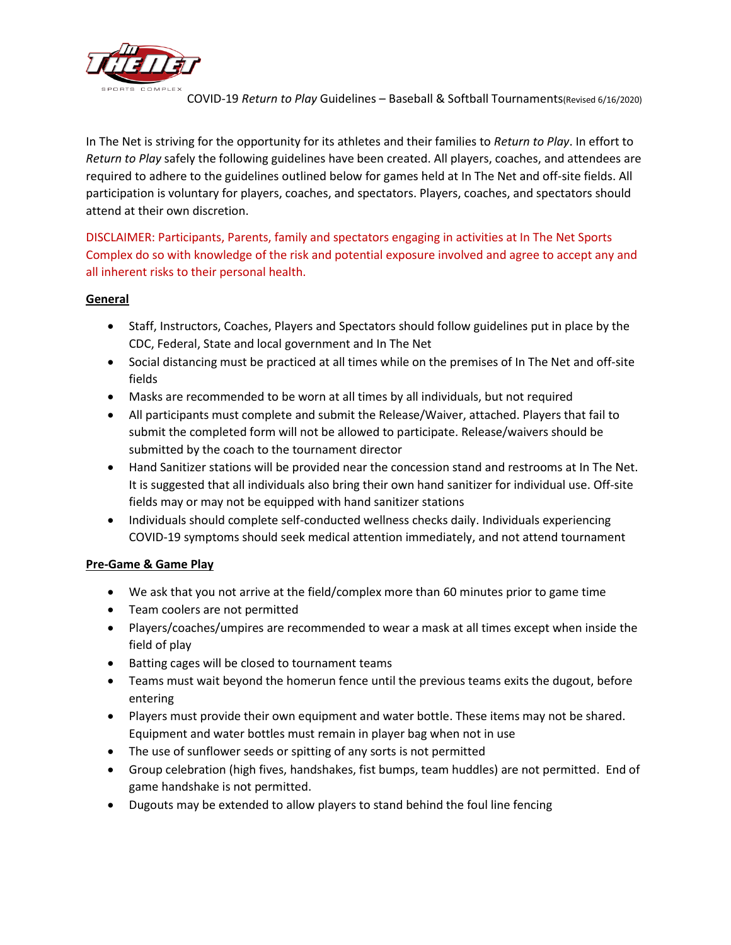

COVID-19 *Return to Play* Guidelines – Baseball & Softball Tournaments(Revised 6/16/2020)

In The Net is striving for the opportunity for its athletes and their families to *Return to Play*. In effort to *Return to Play* safely the following guidelines have been created. All players, coaches, and attendees are required to adhere to the guidelines outlined below for games held at In The Net and off-site fields. All participation is voluntary for players, coaches, and spectators. Players, coaches, and spectators should attend at their own discretion.

DISCLAIMER: Participants, Parents, family and spectators engaging in activities at In The Net Sports Complex do so with knowledge of the risk and potential exposure involved and agree to accept any and all inherent risks to their personal health.

## **General**

- Staff, Instructors, Coaches, Players and Spectators should follow guidelines put in place by the CDC, Federal, State and local government and In The Net
- Social distancing must be practiced at all times while on the premises of In The Net and off-site fields
- Masks are recommended to be worn at all times by all individuals, but not required
- All participants must complete and submit the Release/Waiver, attached. Players that fail to submit the completed form will not be allowed to participate. Release/waivers should be submitted by the coach to the tournament director
- Hand Sanitizer stations will be provided near the concession stand and restrooms at In The Net. It is suggested that all individuals also bring their own hand sanitizer for individual use. Off-site fields may or may not be equipped with hand sanitizer stations
- Individuals should complete self-conducted wellness checks daily. Individuals experiencing COVID-19 symptoms should seek medical attention immediately, and not attend tournament

## **Pre-Game & Game Play**

- We ask that you not arrive at the field/complex more than 60 minutes prior to game time
- Team coolers are not permitted
- Players/coaches/umpires are recommended to wear a mask at all times except when inside the field of play
- Batting cages will be closed to tournament teams
- Teams must wait beyond the homerun fence until the previous teams exits the dugout, before entering
- Players must provide their own equipment and water bottle. These items may not be shared. Equipment and water bottles must remain in player bag when not in use
- The use of sunflower seeds or spitting of any sorts is not permitted
- Group celebration (high fives, handshakes, fist bumps, team huddles) are not permitted. End of game handshake is not permitted.
- Dugouts may be extended to allow players to stand behind the foul line fencing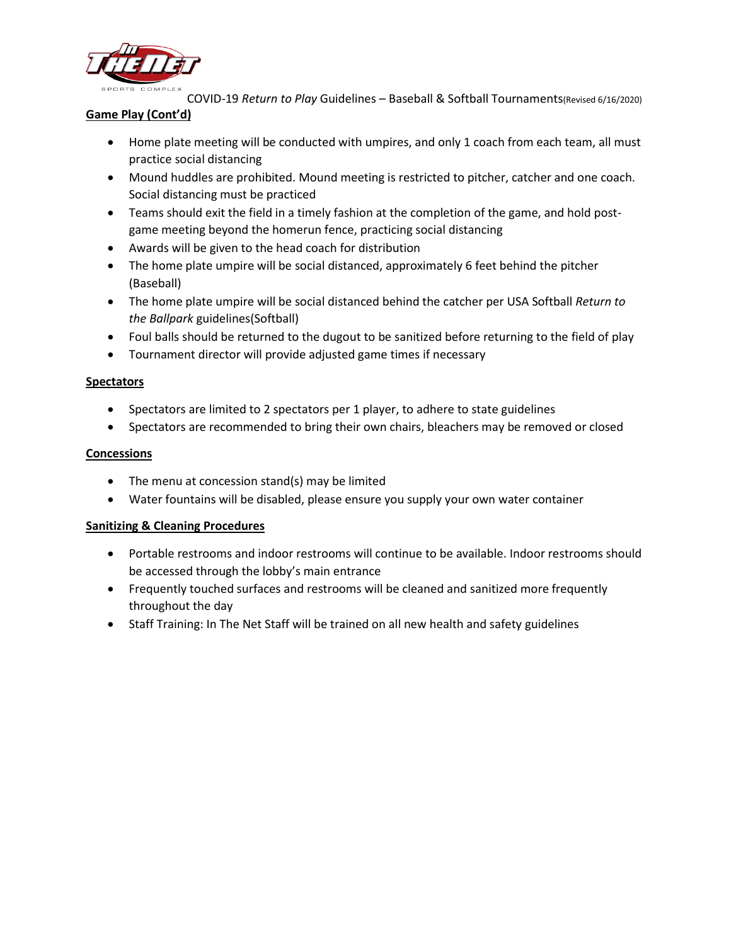

COVID-19 *Return to Play* Guidelines – Baseball & Softball Tournaments(Revised 6/16/2020)

# **Game Play (Cont'd)**

- Home plate meeting will be conducted with umpires, and only 1 coach from each team, all must practice social distancing
- Mound huddles are prohibited. Mound meeting is restricted to pitcher, catcher and one coach. Social distancing must be practiced
- Teams should exit the field in a timely fashion at the completion of the game, and hold postgame meeting beyond the homerun fence, practicing social distancing
- Awards will be given to the head coach for distribution
- The home plate umpire will be social distanced, approximately 6 feet behind the pitcher (Baseball)
- The home plate umpire will be social distanced behind the catcher per USA Softball *Return to the Ballpark* guidelines(Softball)
- Foul balls should be returned to the dugout to be sanitized before returning to the field of play
- Tournament director will provide adjusted game times if necessary

## **Spectators**

- Spectators are limited to 2 spectators per 1 player, to adhere to state guidelines
- Spectators are recommended to bring their own chairs, bleachers may be removed or closed

## **Concessions**

- The menu at concession stand(s) may be limited
- Water fountains will be disabled, please ensure you supply your own water container

## **Sanitizing & Cleaning Procedures**

- Portable restrooms and indoor restrooms will continue to be available. Indoor restrooms should be accessed through the lobby's main entrance
- Frequently touched surfaces and restrooms will be cleaned and sanitized more frequently throughout the day
- Staff Training: In The Net Staff will be trained on all new health and safety guidelines